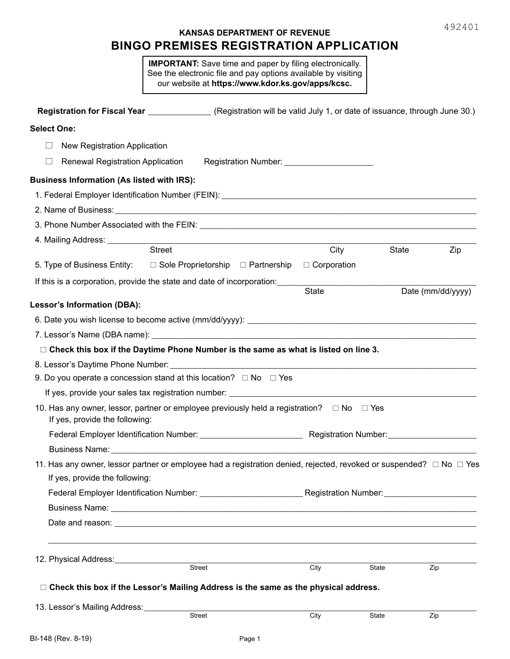# **KANSAS DEPARTMENT OF REVENUE BINGO PREMISES REGISTRATION APPLICATION**

**IMPORTANT:** Save time and paper by filing electronically. See the electronic file and pay options available by visiting our website at **https://www.kdor.ks.gov/apps/kcsc.**

|                                                                                                                                                                                                                                      | Registration for Fiscal Year _________________ (Registration will be valid July 1, or date of issuance, through June 30.) |                                               |       |                   |
|--------------------------------------------------------------------------------------------------------------------------------------------------------------------------------------------------------------------------------------|---------------------------------------------------------------------------------------------------------------------------|-----------------------------------------------|-------|-------------------|
| <b>Select One:</b>                                                                                                                                                                                                                   |                                                                                                                           |                                               |       |                   |
| New Registration Application<br>Ш                                                                                                                                                                                                    |                                                                                                                           |                                               |       |                   |
| Renewal Registration Application<br>Ш                                                                                                                                                                                                |                                                                                                                           | Registration Number: ________________________ |       |                   |
| <b>Business Information (As listed with IRS):</b>                                                                                                                                                                                    |                                                                                                                           |                                               |       |                   |
|                                                                                                                                                                                                                                      |                                                                                                                           |                                               |       |                   |
|                                                                                                                                                                                                                                      |                                                                                                                           |                                               |       |                   |
|                                                                                                                                                                                                                                      |                                                                                                                           |                                               |       |                   |
|                                                                                                                                                                                                                                      |                                                                                                                           |                                               |       |                   |
|                                                                                                                                                                                                                                      | Street                                                                                                                    | City                                          | State | Zip               |
| 5. Type of Business Entity: $\square$ Sole Proprietorship $\square$ Partnership $\square$ Corporation                                                                                                                                |                                                                                                                           |                                               |       |                   |
| If this is a corporation, provide the state and date of incorporation:                                                                                                                                                               |                                                                                                                           |                                               |       |                   |
|                                                                                                                                                                                                                                      |                                                                                                                           | <b>State</b>                                  |       | Date (mm/dd/yyyy) |
| <b>Lessor's Information (DBA):</b>                                                                                                                                                                                                   |                                                                                                                           |                                               |       |                   |
|                                                                                                                                                                                                                                      |                                                                                                                           |                                               |       |                   |
|                                                                                                                                                                                                                                      |                                                                                                                           |                                               |       |                   |
|                                                                                                                                                                                                                                      | □ Check this box if the Daytime Phone Number is the same as what is listed on line 3.                                     |                                               |       |                   |
| 8. Lessor's Daytime Phone Number: New York Change and Change and Change and Change and Change and Change and Ch                                                                                                                      |                                                                                                                           |                                               |       |                   |
| 9. Do you operate a concession stand at this location? $\Box$ No $\Box$ Yes                                                                                                                                                          |                                                                                                                           |                                               |       |                   |
|                                                                                                                                                                                                                                      | If yes, provide your sales tax registration number: ____________________________                                          |                                               |       |                   |
| 10. Has any owner, lessor, partner or employee previously held a registration? $\square$ No $\square$ Yes<br>If yes, provide the following:                                                                                          |                                                                                                                           |                                               |       |                   |
|                                                                                                                                                                                                                                      |                                                                                                                           |                                               |       |                   |
|                                                                                                                                                                                                                                      |                                                                                                                           |                                               |       |                   |
| 11. Has any owner, lessor partner or employee had a registration denied, rejected, revoked or suspended? $\Box$ No $\Box$ Yes<br>If yes, provide the following:                                                                      |                                                                                                                           |                                               |       |                   |
|                                                                                                                                                                                                                                      | Federal Employer Identification Number: ____________________________Registration Number: ____________________             |                                               |       |                   |
|                                                                                                                                                                                                                                      |                                                                                                                           |                                               |       |                   |
|                                                                                                                                                                                                                                      |                                                                                                                           |                                               |       |                   |
| 12. Physical Address: <u>Community of the Secret State of the Secret State of the Secret State Of the Secret State Of the Secret State Of the Secret State Of the Secret State Of the Secret State Of the Secret State Of the Se</u> |                                                                                                                           |                                               |       |                   |
|                                                                                                                                                                                                                                      | Street                                                                                                                    | City                                          | State | Zip               |
|                                                                                                                                                                                                                                      | □ Check this box if the Lessor's Mailing Address is the same as the physical address.                                     |                                               |       |                   |
| 13. Lessor's Mailing Address:                                                                                                                                                                                                        | <b>Street</b>                                                                                                             | City                                          | State | Zip               |
|                                                                                                                                                                                                                                      |                                                                                                                           |                                               |       |                   |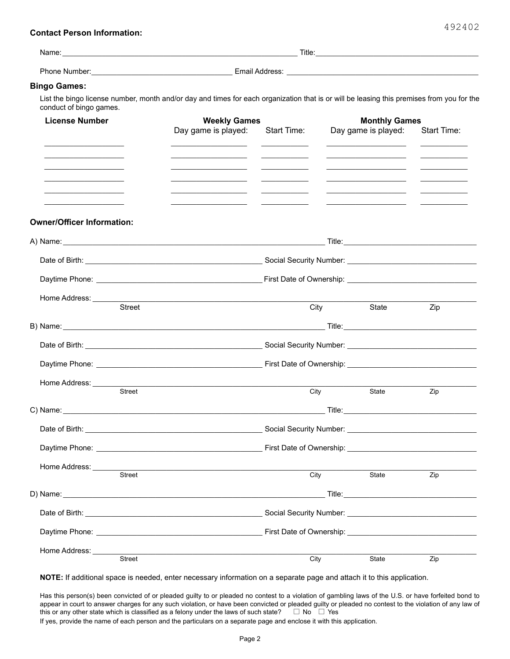### **Contact Person Information:**

| Name:         | Title:         |
|---------------|----------------|
| Phone Number: | Email Address: |

# **Bingo Games:**

List the bingo license number, month and/or day and times for each organization that is or will be leasing this premises from you for the conduct of bingo games.

| <b>License Number</b>                                     | <b>Weekly Games</b>                                                                                                  |                                                                                                                                                                                                                                | <b>Monthly Games</b> |                                                                                                                                                                                                                                      |                    |
|-----------------------------------------------------------|----------------------------------------------------------------------------------------------------------------------|--------------------------------------------------------------------------------------------------------------------------------------------------------------------------------------------------------------------------------|----------------------|--------------------------------------------------------------------------------------------------------------------------------------------------------------------------------------------------------------------------------------|--------------------|
|                                                           | Day game is played:<br>the control of the control of the control of                                                  | Start Time:                                                                                                                                                                                                                    |                      | Day game is played:<br><u> 1989 - Johann Harry Harry Harry Harry Harry Harry Harry Harry Harry Harry Harry Harry Harry Harry Harry Harry</u>                                                                                         | <b>Start Time:</b> |
|                                                           |                                                                                                                      | $\overline{\phantom{a}}$                                                                                                                                                                                                       |                      | <u>experience</u> and the control of the control of the control of the control of the control of the control of the control of the control of the control of the control of the control of the control of the control of the contro  |                    |
|                                                           |                                                                                                                      |                                                                                                                                                                                                                                |                      | <u> Alexandro de la contenentación de la contenentación de la contenentación de la contenentación de la contene</u>                                                                                                                  |                    |
| <u> 1989 - Johann Barnett, fransk politiker (d. 1989)</u> | <u> Alexandria de la contrada de la contrada de la contrada de la contrada de la contrada de la contrada de la c</u> |                                                                                                                                                                                                                                |                      | <u> Alexandro Alexandro Alexandro Alexandro Alexandro Alexandro Alexandro Alexandro Alexandro Alexandro Alexandro Alexandro Alexandro Alexandro Alexandro Alexandro Alexandro Alexandro Alexandro Alexandro Alexandro Alexandro </u> |                    |
|                                                           |                                                                                                                      |                                                                                                                                                                                                                                |                      | the contract of the contract of the contract of the contract of the contract of                                                                                                                                                      |                    |
| <b>Owner/Officer Information:</b>                         |                                                                                                                      |                                                                                                                                                                                                                                |                      |                                                                                                                                                                                                                                      |                    |
|                                                           |                                                                                                                      |                                                                                                                                                                                                                                |                      |                                                                                                                                                                                                                                      |                    |
|                                                           |                                                                                                                      |                                                                                                                                                                                                                                |                      |                                                                                                                                                                                                                                      |                    |
|                                                           |                                                                                                                      |                                                                                                                                                                                                                                |                      |                                                                                                                                                                                                                                      |                    |
| Home Address: ___________<br>Street                       |                                                                                                                      |                                                                                                                                                                                                                                |                      |                                                                                                                                                                                                                                      |                    |
|                                                           |                                                                                                                      | City                                                                                                                                                                                                                           |                      | State                                                                                                                                                                                                                                | Zip                |
|                                                           |                                                                                                                      |                                                                                                                                                                                                                                |                      |                                                                                                                                                                                                                                      |                    |
|                                                           |                                                                                                                      |                                                                                                                                                                                                                                |                      |                                                                                                                                                                                                                                      |                    |
|                                                           |                                                                                                                      |                                                                                                                                                                                                                                |                      |                                                                                                                                                                                                                                      |                    |
|                                                           |                                                                                                                      |                                                                                                                                                                                                                                |                      |                                                                                                                                                                                                                                      |                    |
| <b>Street</b>                                             |                                                                                                                      | City                                                                                                                                                                                                                           |                      | State                                                                                                                                                                                                                                | Zip                |
|                                                           |                                                                                                                      |                                                                                                                                                                                                                                |                      |                                                                                                                                                                                                                                      |                    |
|                                                           |                                                                                                                      |                                                                                                                                                                                                                                |                      |                                                                                                                                                                                                                                      |                    |
|                                                           |                                                                                                                      |                                                                                                                                                                                                                                |                      |                                                                                                                                                                                                                                      |                    |
| Home Address: ______                                      |                                                                                                                      |                                                                                                                                                                                                                                |                      |                                                                                                                                                                                                                                      |                    |
| <b>Street</b>                                             |                                                                                                                      | City                                                                                                                                                                                                                           |                      | State                                                                                                                                                                                                                                | Zip                |
| D) Name:                                                  |                                                                                                                      |                                                                                                                                                                                                                                |                      |                                                                                                                                                                                                                                      |                    |
|                                                           |                                                                                                                      | Social Security Number: Victor Contract Contract Contract Contract Contract Contract Contract Contract Contract Contract Contract Contract Contract Contract Contract Contract Contract Contract Contract Contract Contract Co |                      |                                                                                                                                                                                                                                      |                    |
|                                                           |                                                                                                                      | First Date of Ownership: The Solid State of Sweets and State of Sweets and State State of State State State State State State State State State State State State State State State State State State State State State State  |                      |                                                                                                                                                                                                                                      |                    |
| Home Address:                                             |                                                                                                                      |                                                                                                                                                                                                                                |                      |                                                                                                                                                                                                                                      |                    |
| Street                                                    |                                                                                                                      | City                                                                                                                                                                                                                           |                      | State                                                                                                                                                                                                                                | Zip                |

**NOTE:** If additional space is needed, enter necessary information on a separate page and attach it to this application.

Has this person(s) been convicted of or pleaded guilty to or pleaded no contest to a violation of gambling laws of the U.S. or have forfeited bond to appear in court to answer charges for any such violation, or have been convicted or pleaded guilty or pleaded no contest to the violation of any law of this or any other state which is classified as a felony under the laws of such state?  $\Box$  No  $\Box$  Yes If yes, provide the name of each person and the particulars on a separate page and enclose it with this application.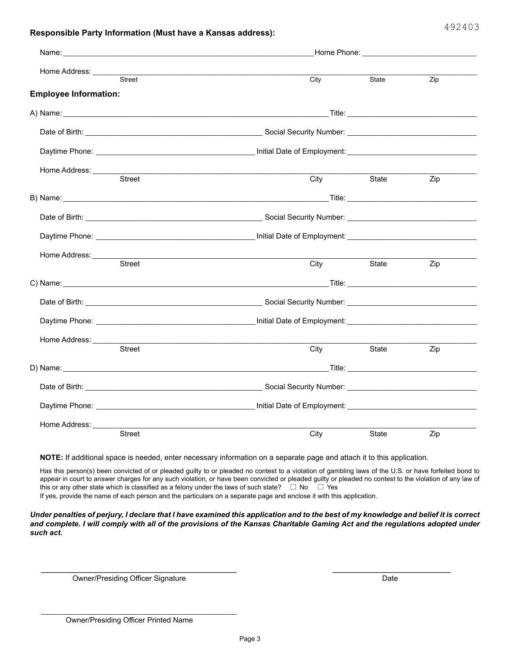# **Responsible Party Information (Must have a Kansas address):**

|                              | Home Phone: The Contract of the Contract of the Contract of the Contract of the Contract of the Contract of the Contract of the Contract of the Contract of the Contract of the Contract of the Contract of the Contract of th       |                                                                                                                                                                                                                                      |     |  |  |  |
|------------------------------|--------------------------------------------------------------------------------------------------------------------------------------------------------------------------------------------------------------------------------------|--------------------------------------------------------------------------------------------------------------------------------------------------------------------------------------------------------------------------------------|-----|--|--|--|
| Street                       | City                                                                                                                                                                                                                                 | State                                                                                                                                                                                                                                | Zip |  |  |  |
| <b>Employee Information:</b> |                                                                                                                                                                                                                                      |                                                                                                                                                                                                                                      |     |  |  |  |
|                              |                                                                                                                                                                                                                                      |                                                                                                                                                                                                                                      |     |  |  |  |
|                              |                                                                                                                                                                                                                                      | Date of Birth: <u>Cambridge Community Community Community Contract Community Contract Community Contract Community Community Contract Community Community Community Community Community Community Community Community Community </u> |     |  |  |  |
|                              |                                                                                                                                                                                                                                      |                                                                                                                                                                                                                                      |     |  |  |  |
| <b>Street</b>                | City                                                                                                                                                                                                                                 | State                                                                                                                                                                                                                                | Zip |  |  |  |
|                              |                                                                                                                                                                                                                                      |                                                                                                                                                                                                                                      |     |  |  |  |
|                              | B) Name: Title: The Contract of the Contract of the Contract of the Contract of Title: Title: Title:                                                                                                                                 |                                                                                                                                                                                                                                      |     |  |  |  |
|                              |                                                                                                                                                                                                                                      |                                                                                                                                                                                                                                      |     |  |  |  |
|                              |                                                                                                                                                                                                                                      |                                                                                                                                                                                                                                      |     |  |  |  |
|                              |                                                                                                                                                                                                                                      |                                                                                                                                                                                                                                      |     |  |  |  |
| Street                       | City                                                                                                                                                                                                                                 | State                                                                                                                                                                                                                                | Zip |  |  |  |
|                              | C) Name: Title: The Contract of the Contract of the Contract of the Contract of Title: Contract of the Contract of the Contract of the Contract of the Contract of the Contract of the Contract of the Contract of the Contrac       |                                                                                                                                                                                                                                      |     |  |  |  |
|                              |                                                                                                                                                                                                                                      |                                                                                                                                                                                                                                      |     |  |  |  |
|                              |                                                                                                                                                                                                                                      |                                                                                                                                                                                                                                      |     |  |  |  |
|                              |                                                                                                                                                                                                                                      |                                                                                                                                                                                                                                      |     |  |  |  |
| Street                       | City                                                                                                                                                                                                                                 | State                                                                                                                                                                                                                                | Zip |  |  |  |
|                              |                                                                                                                                                                                                                                      |                                                                                                                                                                                                                                      |     |  |  |  |
|                              | Date of Birth: <u>Cambridge Community Community Community Contract Community Contract Community Contract Community Community Contract Community Community Community Community Community Community Community Community Community </u> |                                                                                                                                                                                                                                      |     |  |  |  |
|                              |                                                                                                                                                                                                                                      |                                                                                                                                                                                                                                      |     |  |  |  |
| Home Address: _________      |                                                                                                                                                                                                                                      |                                                                                                                                                                                                                                      |     |  |  |  |
| Street                       | City                                                                                                                                                                                                                                 | State                                                                                                                                                                                                                                | Zip |  |  |  |

**NOTE:** If additional space is needed, enter necessary information on a separate page and attach it to this application.

Has this person(s) been convicted of or pleaded guilty to or pleaded no contest to a violation of gambling laws of the U.S. or have forfeited bond to appear in court to answer charges for any such violation, or have been convicted or pleaded guilty or pleaded no contest to the violation of any law of this or any other state which is classified as a felony under the laws of such state?  $\Box$  No  $\Box$  Yes If yes, provide the name of each person and the particulars on a separate page and enclose it with this application.

*Under penalties of perjury, I declare that I have examined this application and to the best of my knowledge and belief it is correct*  and complete. I will comply with all of the provisions of the Kansas Charitable Gaming Act and the regulations adopted under *such act.*

Owner/Presiding Officer Signature **Date of Contract Contract Contract Contract Contract Contract Contract Contract Contract Contract Contract Contract Contract Contract Contract Contract Contract Contract Contract Contract** 

\_\_\_\_\_\_\_\_\_\_\_\_\_\_\_\_\_\_\_\_\_\_\_\_\_\_\_\_\_\_\_\_\_\_\_\_\_\_\_\_\_\_\_\_\_\_\_\_\_\_\_\_\_

*\_\_\_\_\_\_\_\_\_\_\_\_\_\_\_\_\_\_\_\_\_\_\_\_\_\_\_\_\_\_\_\_\_\_\_\_\_\_\_\_\_\_\_\_\_\_\_\_\_\_\_\_\_ \_\_\_\_\_\_\_\_\_\_\_\_\_\_\_\_\_\_\_\_\_\_\_\_\_\_\_\_\_\_\_\_*